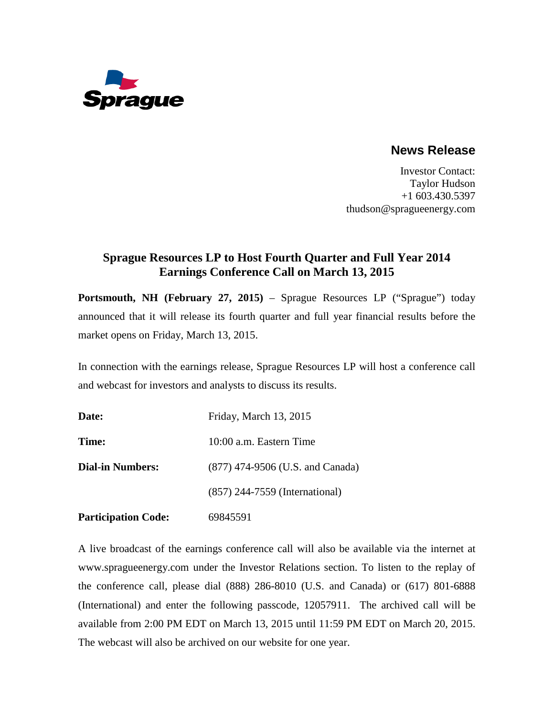

## **News Release**

Investor Contact: Taylor Hudson +1 603.430.5397 thudson@spragueenergy.com

## **Sprague Resources LP to Host Fourth Quarter and Full Year 2014 Earnings Conference Call on March 13, 2015**

**Portsmouth, NH (February 27, 2015)** – Sprague Resources LP ("Sprague") today announced that it will release its fourth quarter and full year financial results before the market opens on Friday, March 13, 2015.

In connection with the earnings release, Sprague Resources LP will host a conference call and webcast for investors and analysts to discuss its results.

| Date:                      | Friday, March 13, 2015           |
|----------------------------|----------------------------------|
| Time:                      | 10:00 a.m. Eastern Time          |
| <b>Dial-in Numbers:</b>    | (877) 474-9506 (U.S. and Canada) |
|                            | (857) 244-7559 (International)   |
| <b>Participation Code:</b> | 69845591                         |

A live broadcast of the earnings conference call will also be available via the internet at www.spragueenergy.com under the Investor Relations section. To listen to the replay of the conference call, please dial (888) 286-8010 (U.S. and Canada) or (617) 801-6888 (International) and enter the following passcode, 12057911. The archived call will be available from 2:00 PM EDT on March 13, 2015 until 11:59 PM EDT on March 20, 2015. The webcast will also be archived on our website for one year.